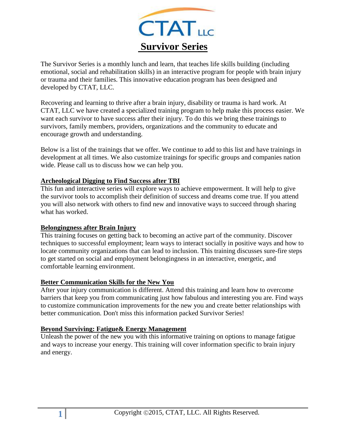

The Survivor Series is a monthly lunch and learn, that teaches life skills building (including emotional, social and rehabilitation skills) in an interactive program for people with brain injury or trauma and their families. This innovative education program has been designed and developed by CTAT, LLC.

Recovering and learning to thrive after a brain injury, disability or trauma is hard work. At CTAT, LLC we have created a specialized training program to help make this process easier. We want each survivor to have success after their injury. To do this we bring these trainings to survivors, family members, providers, organizations and the community to educate and encourage growth and understanding.

Below is a list of the trainings that we offer. We continue to add to this list and have trainings in development at all times. We also customize trainings for specific groups and companies nation wide. Please call us to discuss how we can help you.

### **Archeological Digging to Find Success after TBI**

This fun and interactive series will explore ways to achieve empowerment. It will help to give the survivor tools to accomplish their definition of success and dreams come true. If you attend you will also network with others to find new and innovative ways to succeed through sharing what has worked.

#### **Belongingness after Brain Injury**

This training focuses on getting back to becoming an active part of the community. Discover techniques to successful employment; learn ways to interact socially in positive ways and how to locate community organizations that can lead to inclusion. This training discusses sure-fire steps to get started on social and employment belongingness in an interactive, energetic, and comfortable learning environment.

## **Better Communication Skills for the New You**

After your injury communication is different. Attend this training and learn how to overcome barriers that keep you from communicating just how fabulous and interesting you are. Find ways to customize communication improvements for the new you and create better relationships with better communication. Don't miss this information packed Survivor Series!

## **Beyond Surviving: Fatigue& Energy Management**

Unleash the power of the new you with this informative training on options to manage fatigue and ways to increase your energy. This training will cover information specific to brain injury and energy.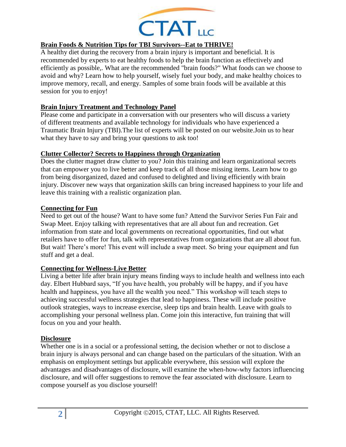

# **Brain Foods & Nutrition Tips for TBI Survivors--Eat to THRIVE!**

A healthy diet during the recovery from a brain injury is important and beneficial. It is recommended by experts to eat healthy foods to help the brain function as effectively and efficiently as possible,. What are the recommended "brain foods?" What foods can we choose to avoid and why? Learn how to help yourself, wisely fuel your body, and make healthy choices to improve memory, recall, and energy. Samples of some brain foods will be available at this session for you to enjoy!

## **Brain Injury Treatment and Technology Panel**

Please come and participate in a conversation with our presenters who will discuss a variety of different treatments and available technology for individuals who have experienced a Traumatic Brain Injury (TBI).The list of experts will be posted on our website.Join us to hear what they have to say and bring your questions to ask too!

## **Clutter Collector? Secrets to Happiness through Organization**

Does the clutter magnet draw clutter to you? Join this training and learn organizational secrets that can empower you to live better and keep track of all those missing items. Learn how to go from being disorganized, dazed and confused to delighted and living efficiently with brain injury. Discover new ways that organization skills can bring increased happiness to your life and leave this training with a realistic organization plan.

## **Connecting for Fun**

Need to get out of the house? Want to have some fun? Attend the Survivor Series Fun Fair and Swap Meet. Enjoy talking with representatives that are all about fun and recreation. Get information from state and local governments on recreational opportunities, find out what retailers have to offer for fun, talk with representatives from organizations that are all about fun. But wait! There's more! This event will include a swap meet. So bring your equipment and fun stuff and get a deal.

## **Connecting for Wellness-Live Better**

Living a better life after brain injury means finding ways to include health and wellness into each day. Elbert Hubbard says, "If you have health, you probably will be happy, and if you have health and happiness, you have all the wealth you need." This workshop will teach steps to achieving successful wellness strategies that lead to happiness. These will include positive outlook strategies, ways to increase exercise, sleep tips and brain health. Leave with goals to accomplishing your personal wellness plan. Come join this interactive, fun training that will focus on you and your health.

## **Disclosure**

Whether one is in a social or a professional setting, the decision whether or not to disclose a brain injury is always personal and can change based on the particulars of the situation. With an emphasis on employment settings but applicable everywhere, this session will explore the advantages and disadvantages of disclosure, will examine the when-how-why factors influencing disclosure, and will offer suggestions to remove the fear associated with disclosure. Learn to compose yourself as you disclose yourself!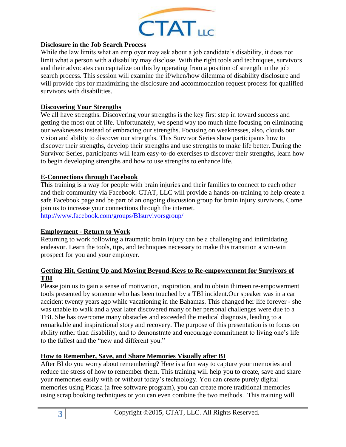

## **Disclosure in the Job Search Process**

While the law limits what an employer may ask about a job candidate's disability, it does not limit what a person with a disability may disclose. With the right tools and techniques, survivors and their advocates can capitalize on this by operating from a position of strength in the job search process. This session will examine the if/when/how dilemma of disability disclosure and will provide tips for maximizing the disclosure and accommodation request process for qualified survivors with disabilities.

### **Discovering Your Strengths**

We all have strengths. Discovering your strengths is the key first step in toward success and getting the most out of life. Unfortunately, we spend way too much time focusing on eliminating our weaknesses instead of embracing our strengths. Focusing on weaknesses, also, clouds our vision and ability to discover our strengths. This Survivor Series show participants how to discover their strengths, develop their strengths and use strengths to make life better. During the Survivor Series, participants will learn easy-to-do exercises to discover their strengths, learn how to begin developing strengths and how to use strengths to enhance life.

### **E-Connections through Facebook**

This training is a way for people with brain injuries and their families to connect to each other and their community via Facebook. CTAT, LLC will provide a hands-on-training to help create a safe Facebook page and be part of an ongoing discussion group for brain injury survivors. Come join us to increase your connections through the internet. <http://www.facebook.com/groups/BIsurvivorsgroup/>

#### **Employment - Return to Work**

Returning to work following a traumatic brain injury can be a challenging and intimidating endeavor. Learn the tools, tips, and techniques necessary to make this transition a win-win prospect for you and your employer.

## **Getting Hit, Getting Up and Moving Beyond-Keys to Re-empowerment for Survivors of TBI**

Please join us to gain a sense of motivation, inspiration, and to obtain thirteen re-empowerment tools presented by someone who has been touched by a TBI incident.Our speaker was in a car accident twenty years ago while vacationing in the Bahamas. This changed her life forever - she was unable to walk and a year later discovered many of her personal challenges were due to a TBI. She has overcome many obstacles and exceeded the medical diagnosis, leading to a remarkable and inspirational story and recovery. The purpose of this presentation is to focus on ability rather than disability, and to demonstrate and encourage commitment to living one's life to the fullest and the "new and different you."

#### **How to Remember, Save, and Share Memories Visually after BI**

After BI do you worry about remembering? Here is a fun way to capture your memories and reduce the stress of how to remember them. This training will help you to create, save and share your memories easily with or without today's technology. You can create purely digital memories using Picasa (a free software program), you can create more traditional memories using scrap booking techniques or you can even combine the two methods. This training will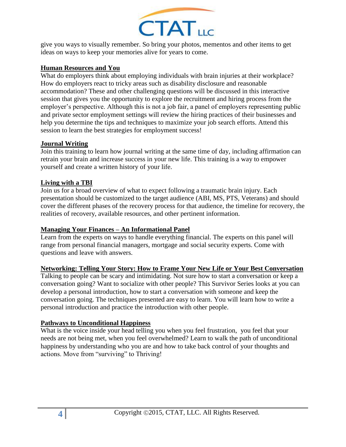

give you ways to visually remember. So bring your photos, mementos and other items to get ideas on ways to keep your memories alive for years to come.

## **Human Resources and You**

What do employers think about employing individuals with brain injuries at their workplace? How do employers react to tricky areas such as disability disclosure and reasonable accommodation? These and other challenging questions will be discussed in this interactive session that gives you the opportunity to explore the recruitment and hiring process from the employer's perspective. Although this is not a job fair, a panel of employers representing public and private sector employment settings will review the hiring practices of their businesses and help you determine the tips and techniques to maximize your job search efforts. Attend this session to learn the best strategies for employment success!

#### **Journal Writing**

Join this training to learn how journal writing at the same time of day, including affirmation can retrain your brain and increase success in your new life. This training is a way to empower yourself and create a written history of your life.

### **Living with a TBI**

Join us for a broad overview of what to expect following a traumatic brain injury. Each presentation should be customized to the target audience (ABI, MS, PTS, Veterans) and should cover the different phases of the recovery process for that audience, the timeline for recovery, the realities of recovery, available resources, and other pertinent information.

#### **Managing Your Finances – An Informational Panel**

Learn from the experts on ways to handle everything financial. The experts on this panel will range from personal financial managers, mortgage and social security experts. Come with questions and leave with answers.

## **Networking: Telling Your Story: How to Frame Your New Life or Your Best Conversation**

Talking to people can be scary and intimidating. Not sure how to start a conversation or keep a conversation going? Want to socialize with other people? This Survivor Series looks at you can develop a personal introduction, how to start a conversation with someone and keep the conversation going. The techniques presented are easy to learn. You will learn how to write a personal introduction and practice the introduction with other people.

## **Pathways to Unconditional Happiness**

What is the voice inside your head telling you when you feel frustration, you feel that your needs are not being met, when you feel overwhelmed? Learn to walk the path of unconditional happiness by understanding who you are and how to take back control of your thoughts and actions. Move from "surviving" to Thriving!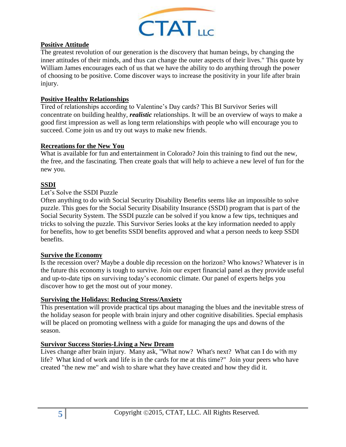

### **Positive Attitude**

The greatest revolution of our generation is the discovery that human beings, by changing the inner attitudes of their minds, and thus can change the outer aspects of their lives." This quote by William James encourages each of us that we have the ability to do anything through the power of choosing to be positive. Come discover ways to increase the positivity in your life after brain injury.

### **Positive Healthy Relationships**

Tired of relationships according to Valentine's Day cards? This BI Survivor Series will concentrate on building healthy, *realistic* relationships. It will be an overview of ways to make a good first impression as well as long term relationships with people who will encourage you to succeed. Come join us and try out ways to make new friends.

### **Recreations for the New You**

What is available for fun and entertainment in Colorado? Join this training to find out the new, the free, and the fascinating. Then create goals that will help to achieve a new level of fun for the new you.

## **SSDI**

#### Let's Solve the SSDI Puzzle

Often anything to do with Social Security Disability Benefits seems like an impossible to solve puzzle. This goes for the Social Security Disability Insurance (SSDI) program that is part of the Social Security System. The SSDI puzzle can be solved if you know a few tips, techniques and tricks to solving the puzzle. This Survivor Series looks at the key information needed to apply for benefits, how to get benefits SSDI benefits approved and what a person needs to keep SSDI benefits.

#### **Survive the Economy**

Is the recession over? Maybe a double dip recession on the horizon? Who knows? Whatever is in the future this economy is tough to survive. Join our expert financial panel as they provide useful and up-to-date tips on surviving today's economic climate. Our panel of experts helps you discover how to get the most out of your money.

#### **Surviving the Holidays: Reducing Stress/Anxiety**

This presentation will provide practical tips about managing the blues and the inevitable stress of the holiday season for people with brain injury and other cognitive disabilities. Special emphasis will be placed on promoting wellness with a guide for managing the ups and downs of the season.

#### **Survivor Success Stories-Living a New Dream**

Lives change after brain injury. Many ask, "What now? What's next? What can I do with my life? What kind of work and life is in the cards for me at this time?" Join your peers who have created "the new me" and wish to share what they have created and how they did it.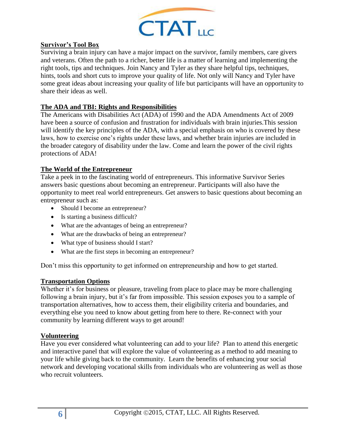

### **Survivor's Tool Box**

Surviving a brain injury can have a major impact on the survivor, family members, care givers and veterans. Often the path to a richer, better life is a matter of learning and implementing the right tools, tips and techniques. Join Nancy and Tyler as they share helpful tips, techniques, hints, tools and short cuts to improve your quality of life. Not only will Nancy and Tyler have some great ideas about increasing your quality of life but participants will have an opportunity to share their ideas as well.

### **The ADA and TBI: Rights and Responsibilities**

The Americans with Disabilities Act (ADA) of 1990 and the ADA Amendments Act of 2009 have been a source of confusion and frustration for individuals with brain injuries.This session will identify the key principles of the ADA, with a special emphasis on who is covered by these laws, how to exercise one's rights under these laws, and whether brain injuries are included in the broader category of disability under the law. Come and learn the power of the civil rights protections of ADA!

### **The World of the Entrepreneur**

Take a peek in to the fascinating world of entrepreneurs. This informative Survivor Series answers basic questions about becoming an entrepreneur. Participants will also have the opportunity to meet real world entrepreneurs. Get answers to basic questions about becoming an entrepreneur such as:

- Should I become an entrepreneur?
- Is starting a business difficult?
- What are the advantages of being an entrepreneur?
- What are the drawbacks of being an entrepreneur?
- What type of business should I start?
- What are the first steps in becoming an entrepreneur?

Don't miss this opportunity to get informed on entrepreneurship and how to get started.

#### **Transportation Options**

Whether it's for business or pleasure, traveling from place to place may be more challenging following a brain injury, but it's far from impossible. This session exposes you to a sample of transportation alternatives, how to access them, their eligibility criteria and boundaries, and everything else you need to know about getting from here to there. Re-connect with your community by learning different ways to get around!

#### **Volunteering**

Have you ever considered what volunteering can add to your life? Plan to attend this energetic and interactive panel that will explore the value of volunteering as a method to add meaning to your life while giving back to the community. Learn the benefits of enhancing your social network and developing vocational skills from individuals who are volunteering as well as those who recruit volunteers.